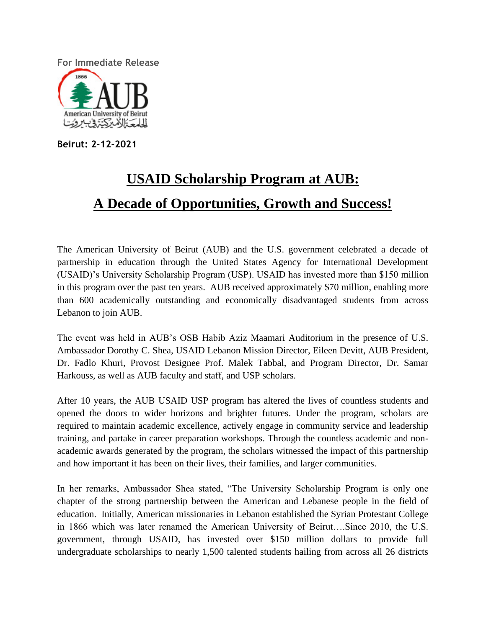**For Immediate Release** American University of Beirut للمعك المترككة وبالروت

**Beirut: 2-12-2021**

## **USAID Scholarship Program at AUB: A Decade of Opportunities, Growth and Success!**

The American University of Beirut (AUB) and the U.S. government celebrated a decade of partnership in education through the United States Agency for International Development (USAID)'s University Scholarship Program (USP). USAID has invested more than \$150 million in this program over the past ten years. AUB received approximately \$70 million, enabling more than 600 academically outstanding and economically disadvantaged students from across Lebanon to join AUB.

The event was held in AUB's OSB Habib Aziz Maamari Auditorium in the presence of U.S. Ambassador Dorothy C. Shea, USAID Lebanon Mission Director, Eileen Devitt, AUB President, Dr. Fadlo Khuri, Provost Designee Prof. Malek Tabbal, and Program Director, Dr. Samar Harkouss, as well as AUB faculty and staff, and USP scholars.

After 10 years, the AUB USAID USP program has altered the lives of countless students and opened the doors to wider horizons and brighter futures. Under the program, scholars are required to maintain academic excellence, actively engage in community service and leadership training, and partake in career preparation workshops. Through the countless academic and nonacademic awards generated by the program, the scholars witnessed the impact of this partnership and how important it has been on their lives, their families, and larger communities.

In her remarks, Ambassador Shea stated, "The University Scholarship Program is only one chapter of the strong partnership between the American and Lebanese people in the field of education. Initially, American missionaries in Lebanon established the Syrian Protestant College in 1866 which was later renamed the American University of Beirut….Since 2010, the U.S. government, through USAID, has invested over \$150 million dollars to provide full undergraduate scholarships to nearly 1,500 talented students hailing from across all 26 districts